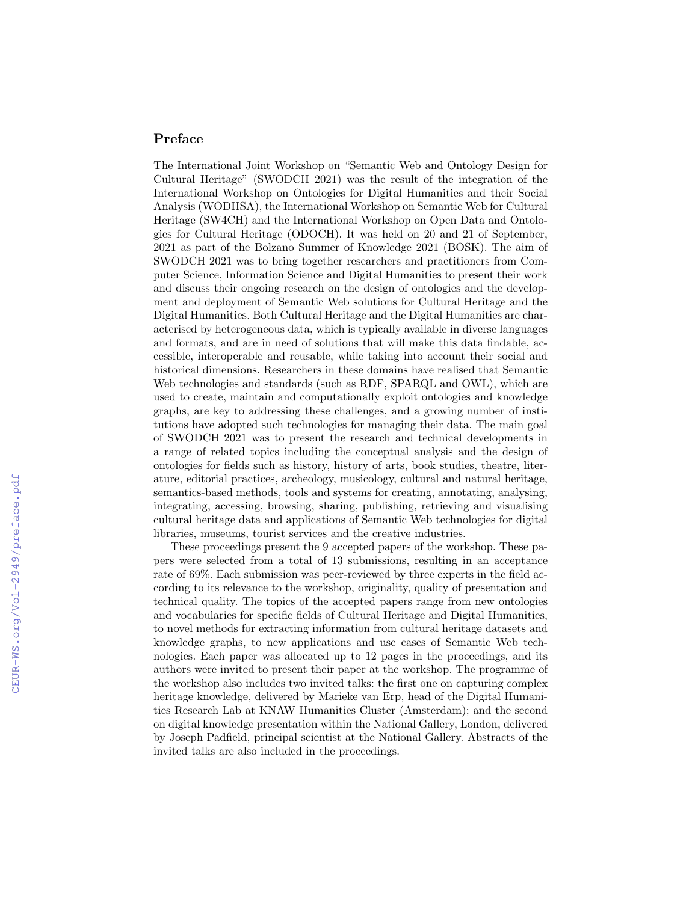## Preface

The International Joint Workshop on "Semantic Web and Ontology Design for Cultural Heritage" (SWODCH 2021) was the result of the integration of the International Workshop on Ontologies for Digital Humanities and their Social Analysis (WODHSA), the International Workshop on Semantic Web for Cultural Heritage (SW4CH) and the International Workshop on Open Data and Ontologies for Cultural Heritage (ODOCH). It was held on 20 and 21 of September, 2021 as part of the Bolzano Summer of Knowledge 2021 (BOSK). The aim of SWODCH 2021 was to bring together researchers and practitioners from Computer Science, Information Science and Digital Humanities to present their work and discuss their ongoing research on the design of ontologies and the development and deployment of Semantic Web solutions for Cultural Heritage and the Digital Humanities. Both Cultural Heritage and the Digital Humanities are characterised by heterogeneous data, which is typically available in diverse languages and formats, and are in need of solutions that will make this data findable, accessible, interoperable and reusable, while taking into account their social and historical dimensions. Researchers in these domains have realised that Semantic Web technologies and standards (such as RDF, SPARQL and OWL), which are used to create, maintain and computationally exploit ontologies and knowledge graphs, are key to addressing these challenges, and a growing number of institutions have adopted such technologies for managing their data. The main goal of SWODCH 2021 was to present the research and technical developments in a range of related topics including the conceptual analysis and the design of ontologies for fields such as history, history of arts, book studies, theatre, literature, editorial practices, archeology, musicology, cultural and natural heritage, semantics-based methods, tools and systems for creating, annotating, analysing, integrating, accessing, browsing, sharing, publishing, retrieving and visualising cultural heritage data and applications of Semantic Web technologies for digital libraries, museums, tourist services and the creative industries.

These proceedings present the 9 accepted papers of the workshop. These papers were selected from a total of 13 submissions, resulting in an acceptance rate of 69%. Each submission was peer-reviewed by three experts in the field according to its relevance to the workshop, originality, quality of presentation and technical quality. The topics of the accepted papers range from new ontologies and vocabularies for specific fields of Cultural Heritage and Digital Humanities, to novel methods for extracting information from cultural heritage datasets and knowledge graphs, to new applications and use cases of Semantic Web technologies. Each paper was allocated up to 12 pages in the proceedings, and its authors were invited to present their paper at the workshop. The programme of the workshop also includes two invited talks: the first one on capturing complex heritage knowledge, delivered by Marieke van Erp, head of the Digital Humanities Research Lab at KNAW Humanities Cluster (Amsterdam); and the second on digital knowledge presentation within the National Gallery, London, delivered by Joseph Padfield, principal scientist at the National Gallery. Abstracts of the invited talks are also included in the proceedings.